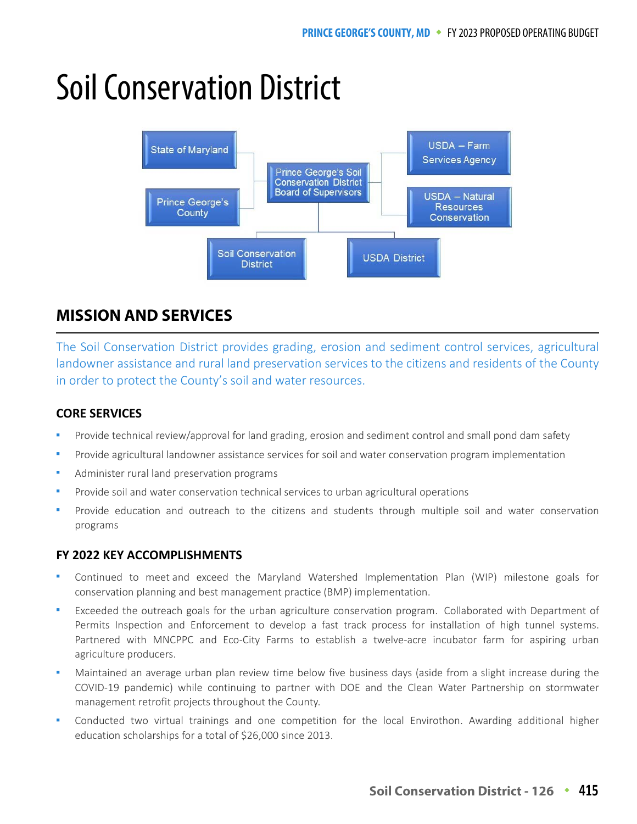# Soil Conservation District



# **MISSION AND SERVICES**

The Soil Conservation District provides grading, erosion and sediment control services, agricultural landowner assistance and rural land preservation services to the citizens and residents of the County in order to protect the County's soil and water resources.

# **CORE SERVICES**

- Provide technical review/approval for land grading, erosion and sediment control and small pond dam safety
- Provide agricultural landowner assistance services for soil and water conservation program implementation
- Administer rural land preservation programs
- Provide soil and water conservation technical services to urban agricultural operations
- Provide education and outreach to the citizens and students through multiple soil and water conservation programs

# **FY 2022 KEY ACCOMPLISHMENTS**

- Continued to meet and exceed the Maryland Watershed Implementation Plan (WIP) milestone goals for conservation planning and best management practice (BMP) implementation.
- Exceeded the outreach goals for the urban agriculture conservation program. Collaborated with Department of Permits Inspection and Enforcement to develop a fast track process for installation of high tunnel systems. Partnered with MNCPPC and Eco-City Farms to establish a twelve-acre incubator farm for aspiring urban agriculture producers.
- Maintained an average urban plan review time below five business days (aside from a slight increase during the COVID-19 pandemic) while continuing to partner with DOE and the Clean Water Partnership on stormwater management retrofit projects throughout the County.
- Conducted two virtual trainings and one competition for the local Envirothon. Awarding additional higher education scholarships for a total of \$26,000 since 2013.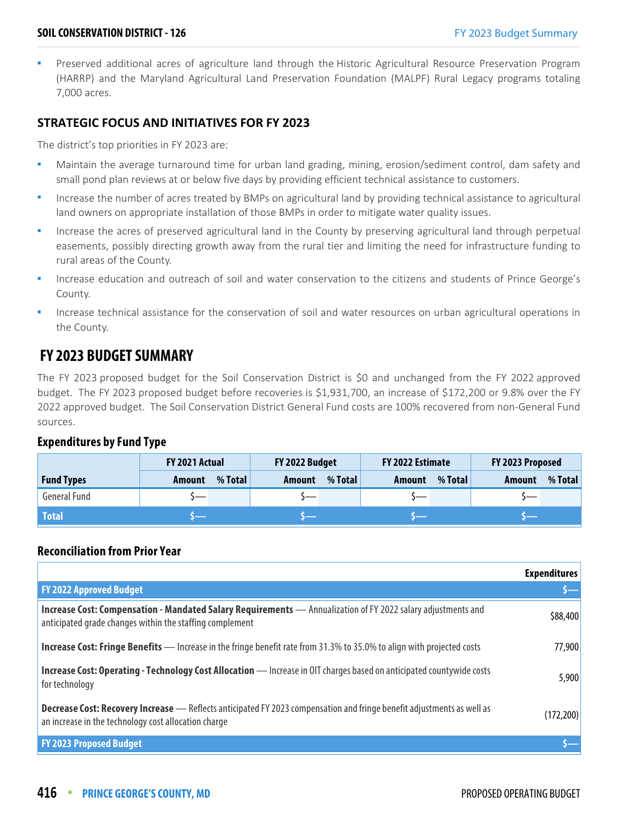#### **SOIL CONSERVATION DISTRICT - 126** FY 2023 Budget Summary

 Preserved additional acres of agriculture land through the Historic Agricultural Resource Preservation Program (HARRP) and the Maryland Agricultural Land Preservation Foundation (MALPF) Rural Legacy programs totaling 7,000 acres.

# **STRATEGIC FOCUS AND INITIATIVES FOR FY 2023**

The district's top priorities in FY 2023 are:

- Maintain the average turnaround time for urban land grading, mining, erosion/sediment control, dam safety and small pond plan reviews at or below five days by providing efficient technical assistance to customers.
- Increase the number of acres treated by BMPs on agricultural land by providing technical assistance to agricultural land owners on appropriate installation of those BMPs in order to mitigate water quality issues.
- Increase the acres of preserved agricultural land in the County by preserving agricultural land through perpetual easements, possibly directing growth away from the rural tier and limiting the need for infrastructure funding to rural areas of the County.
- Increase education and outreach of soil and water conservation to the citizens and students of Prince George's County.
- Increase technical assistance for the conservation of soil and water resources on urban agricultural operations in the County.

# **FY 2023 BUDGET SUMMARY**

The FY 2023 proposed budget for the Soil Conservation District is \$0 and unchanged from the FY 2022 approved budget. The FY 2023 proposed budget before recoveries is \$1,931,700, an increase of \$172,200 or 9.8% over the FY 2022 approved budget. The Soil Conservation District General Fund costs are 100% recovered from non-General Fund sources.

## **Expenditures by Fund Type**

|                     | <b>FY 2021 Actual</b> |                   | FY 2022 Budget |        | FY 2022 Estimate |        | FY 2023 Proposed |
|---------------------|-----------------------|-------------------|----------------|--------|------------------|--------|------------------|
| <b>Fund Types</b>   | Amount                | % Total<br>Amount | % Total        | Amount | % Total          | Amount | % Total          |
| <b>General Fund</b> |                       |                   |                |        |                  |        |                  |
| <b>Total</b>        |                       |                   |                |        |                  |        |                  |

# **Reconciliation from Prior Year**

|                                                                                                                                                                                | <b>Expenditures</b> |
|--------------------------------------------------------------------------------------------------------------------------------------------------------------------------------|---------------------|
| <b>FY 2022 Approved Budget</b>                                                                                                                                                 |                     |
| Increase Cost: Compensation - Mandated Salary Requirements - Annualization of FY 2022 salary adjustments and<br>anticipated grade changes within the staffing complement       | \$88,400            |
| <b>Increase Cost: Fringe Benefits</b> — Increase in the fringe benefit rate from 31.3% to 35.0% to align with projected costs                                                  | 77,900              |
| Increase Cost: Operating - Technology Cost Allocation - Increase in OIT charges based on anticipated countywide costs<br>for technology                                        | 5,900               |
| Decrease Cost: Recovery Increase - Reflects anticipated FY 2023 compensation and fringe benefit adjustments as well as<br>an increase in the technology cost allocation charge | (172, 200)          |
| <b>FY 2023 Proposed Budget</b>                                                                                                                                                 |                     |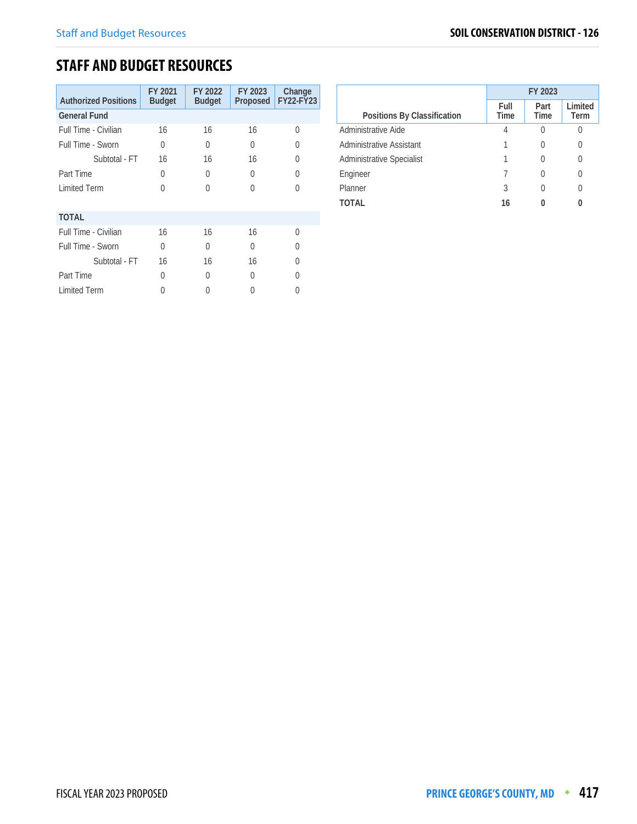# **STAFF AND BUDGET RESOURCES**

| <b>Authorized Positions</b> | FY 2021<br><b>Budget</b> | FY 2022<br><b>Budget</b> | FY 2023<br>Proposed | Change<br><b>FY22-FY23</b> |
|-----------------------------|--------------------------|--------------------------|---------------------|----------------------------|
| <b>General Fund</b>         |                          |                          |                     |                            |
| Full Time - Civilian        | 16                       | 16                       | 16                  | U                          |
| Full Time - Sworn           | 0                        | 0                        | U                   | $\left( \right)$           |
| Subtotal - FT               | 16                       | 16                       | 16                  |                            |
| Part Time                   | 0                        | $\Omega$                 | 0                   | 0                          |
| <b>Limited Term</b>         | U                        | U                        | Λ                   |                            |
| <b>TOTAL</b>                |                          |                          |                     |                            |
| Full Time - Civilian        | 16                       | 16                       | 16                  | 0                          |
| Full Time - Sworn           | 0                        | 0                        | U                   |                            |
| Subtotal - FT               | 16                       | 16                       | 16                  |                            |
| Part Time                   | 0                        | U                        | U                   |                            |
| <b>Limited Term</b>         | 0                        |                          |                     |                            |

|                                  | FY 2023      |              |                 |
|----------------------------------|--------------|--------------|-----------------|
| Positions By Classification      | Full<br>Time | Part<br>Time | Limited<br>Term |
| Administrative Aide              | 4            |              |                 |
| Administrative Assistant         | 1            |              | 0               |
| <b>Administrative Specialist</b> |              |              | 0               |
| Engineer                         |              |              | 0               |
| Planner                          | 3            |              | 0               |
| TOTAL                            | 16           |              |                 |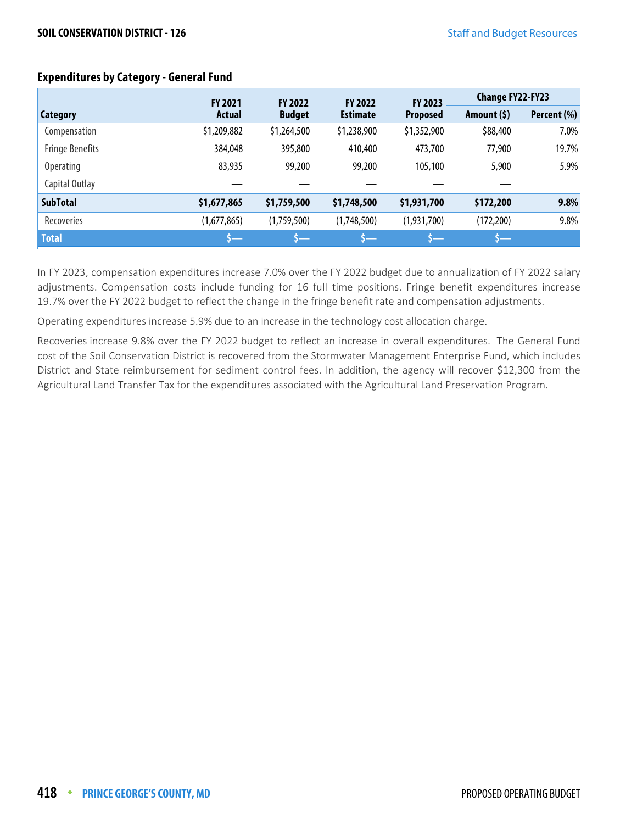|                        | <b>FY 2021</b> | <b>FY 2022</b> | <b>FY 2022</b>  | FY 2023         | <b>Change FY22-FY23</b> |             |
|------------------------|----------------|----------------|-----------------|-----------------|-------------------------|-------------|
| Category               | <b>Actual</b>  | <b>Budget</b>  | <b>Estimate</b> | <b>Proposed</b> | Amount (\$)             | Percent (%) |
| Compensation           | \$1,209,882    | \$1,264,500    | \$1,238,900     | \$1,352,900     | \$88,400                | 7.0%        |
| <b>Fringe Benefits</b> | 384,048        | 395,800        | 410,400         | 473,700         | 77,900                  | 19.7%       |
| <b>Operating</b>       | 83,935         | 99,200         | 99,200          | 105,100         | 5,900                   | 5.9%        |
| Capital Outlay         |                |                |                 |                 |                         |             |
| <b>SubTotal</b>        | \$1,677,865    | \$1,759,500    | \$1,748,500     | \$1,931,700     | \$172,200               | 9.8%        |
| Recoveries             | (1,677,865)    | (1,759,500)    | (1,748,500)     | (1,931,700)     | (172, 200)              | 9.8%        |
| <b>Total</b>           | $S$ —          | $\sim$         |                 | s—              | <b>s—</b>               |             |

# **Expenditures by Category - General Fund**

In FY 2023, compensation expenditures increase 7.0% over the FY 2022 budget due to annualization of FY 2022 salary adjustments. Compensation costs include funding for 16 full time positions. Fringe benefit expenditures increase 19.7% over the FY 2022 budget to reflect the change in the fringe benefit rate and compensation adjustments.

Operating expenditures increase 5.9% due to an increase in the technology cost allocation charge.

Recoveries increase 9.8% over the FY 2022 budget to reflect an increase in overall expenditures. The General Fund cost of the Soil Conservation District is recovered from the Stormwater Management Enterprise Fund, which includes District and State reimbursement for sediment control fees. In addition, the agency will recover \$12,300 from the Agricultural Land Transfer Tax for the expenditures associated with the Agricultural Land Preservation Program.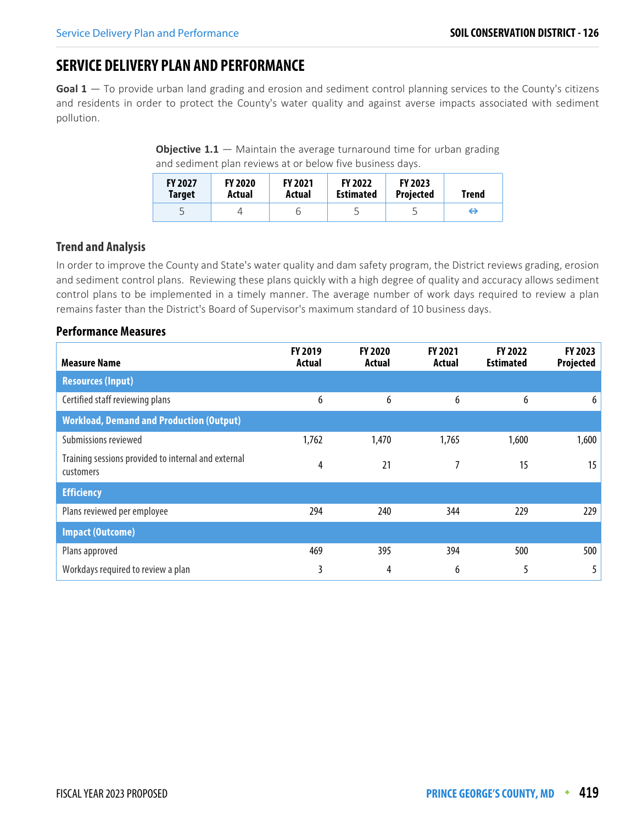# **SERVICE DELIVERY PLAN AND PERFORMANCE**

**Goal 1** — To provide urban land grading and erosion and sediment control planning services to the County's citizens and residents in order to protect the County's water quality and against averse impacts associated with sediment pollution.

**Objective 1.1** – Maintain the average turnaround time for urban grading and sediment plan reviews at or below five business days.

| <b>FY 2027</b> | <b>FY 2020</b> | <b>FY 2021</b> | <b>FY 2022</b>   | <b>FY 2023</b>   | Trend |
|----------------|----------------|----------------|------------------|------------------|-------|
| <b>Target</b>  | Actual         | Actual         | <b>Estimated</b> | <b>Projected</b> |       |
| C              |                |                | ٮ                | ب                |       |

# **Trend and Analysis**

In order to improve the County and State's water quality and dam safety program, the District reviews grading, erosion and sediment control plans. Reviewing these plans quickly with a high degree of quality and accuracy allows sediment control plans to be implemented in a timely manner. The average number of work days required to review a plan remains faster than the District's Board of Supervisor's maximum standard of 10 business days.

| <b>Measure Name</b>                                              | FY 2019<br>Actual | <b>FY 2020</b><br>Actual | <b>FY 2021</b><br>Actual | FY 2022<br><b>Estimated</b> | FY 2023<br><b>Projected</b> |
|------------------------------------------------------------------|-------------------|--------------------------|--------------------------|-----------------------------|-----------------------------|
| <b>Resources (Input)</b>                                         |                   |                          |                          |                             |                             |
| Certified staff reviewing plans                                  | 6                 | 6                        | 6                        | 6                           | 6                           |
| <b>Workload, Demand and Production (Output)</b>                  |                   |                          |                          |                             |                             |
| Submissions reviewed                                             | 1,762             | 1,470                    | 1,765                    | 1,600                       | 1,600                       |
| Training sessions provided to internal and external<br>customers | 4                 | 21                       |                          | 15                          | 15                          |
| <b>Efficiency</b>                                                |                   |                          |                          |                             |                             |
| Plans reviewed per employee                                      | 294               | 240                      | 344                      | 229                         | 229                         |
| <b>Impact (Outcome)</b>                                          |                   |                          |                          |                             |                             |
| Plans approved                                                   | 469               | 395                      | 394                      | 500                         | 500                         |
| Workdays required to review a plan                               | 3                 | 4                        | 6                        | 5                           | 5                           |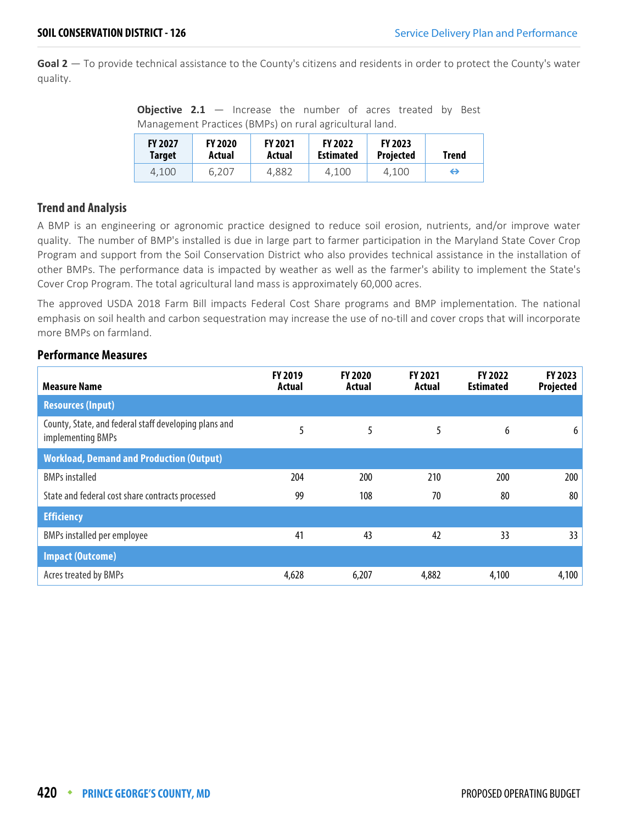**Goal 2** — To provide technical assistance to the County's citizens and residents in order to protect the County's water quality.

**Objective 2.1** – Increase the number of acres treated by Best Management Practices (BMPs) on rural agricultural land.

| <b>FY 2027</b> | <b>FY 2020</b> | <b>FY 2021</b> | <b>FY 2022</b>   | <b>FY 2023</b>   | Trend |
|----------------|----------------|----------------|------------------|------------------|-------|
| Target         | Actual         | Actual         | <b>Estimated</b> | <b>Projected</b> |       |
| 4.100          | 6.207          | 4.882          | 4.100            | 4.100            | ⊖     |

## **Trend and Analysis**

A BMP is an engineering or agronomic practice designed to reduce soil erosion, nutrients, and/or improve water quality. The number of BMP's installed is due in large part to farmer participation in the Maryland State Cover Crop Program and support from the Soil Conservation District who also provides technical assistance in the installation of other BMPs. The performance data is impacted by weather as well as the farmer's ability to implement the State's Cover Crop Program. The total agricultural land mass is approximately 60,000 acres.

The approved USDA 2018 Farm Bill impacts Federal Cost Share programs and BMP implementation. The national emphasis on soil health and carbon sequestration may increase the use of no-till and cover crops that will incorporate more BMPs on farmland.

| <b>Measure Name</b>                                                        | FY 2019<br>Actual | <b>FY 2020</b><br>Actual | <b>FY 2021</b><br>Actual | FY 2022<br><b>Estimated</b> | FY 2023<br>Projected |
|----------------------------------------------------------------------------|-------------------|--------------------------|--------------------------|-----------------------------|----------------------|
| <b>Resources (Input)</b>                                                   |                   |                          |                          |                             |                      |
| County, State, and federal staff developing plans and<br>implementing BMPs | 5                 | 5                        | 5                        | 6                           | 6                    |
| <b>Workload, Demand and Production (Output)</b>                            |                   |                          |                          |                             |                      |
| <b>BMPs installed</b>                                                      | 204               | 200                      | 210                      | 200                         | 200                  |
| State and federal cost share contracts processed                           | 99                | 108                      | 70                       | 80                          | 80                   |
| <b>Efficiency</b>                                                          |                   |                          |                          |                             |                      |
| <b>BMPs installed per employee</b>                                         | 41                | 43                       | 42                       | 33                          | 33                   |
| <b>Impact (Outcome)</b>                                                    |                   |                          |                          |                             |                      |
| Acres treated by BMPs                                                      | 4,628             | 6,207                    | 4,882                    | 4,100                       | 4,100                |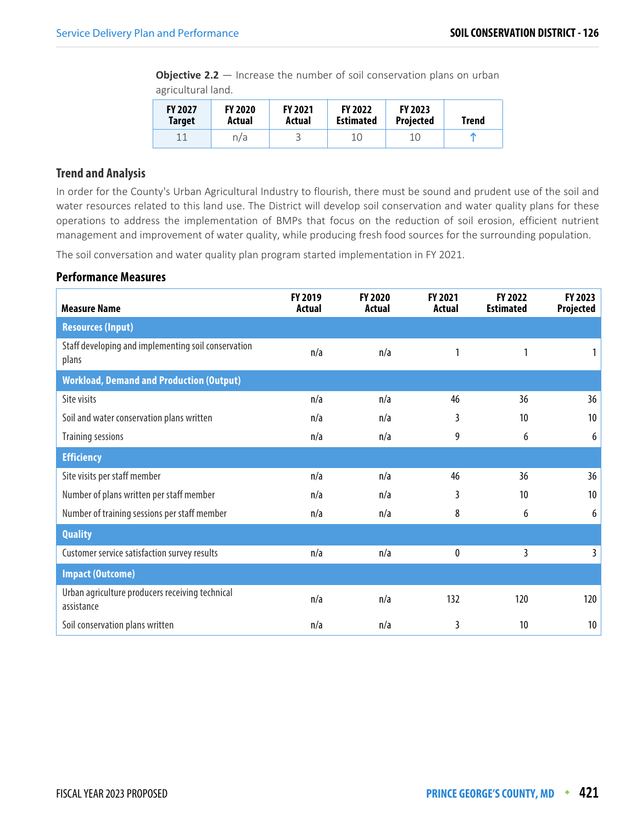**Objective 2.2** — Increase the number of soil conservation plans on urban agricultural land.

| <b>FY 2027</b> | <b>FY 2020</b> | <b>FY 2021</b> | <b>FY 2022</b>   | <b>FY 2023</b>   | Trend |
|----------------|----------------|----------------|------------------|------------------|-------|
| <b>Target</b>  | Actual         | Actual         | <b>Estimated</b> | <b>Projected</b> |       |
|                | n/a            |                | 10               | 10               |       |

# **Trend and Analysis**

In order for the County's Urban Agricultural Industry to flourish, there must be sound and prudent use of the soil and water resources related to this land use. The District will develop soil conservation and water quality plans for these operations to address the implementation of BMPs that focus on the reduction of soil erosion, efficient nutrient management and improvement of water quality, while producing fresh food sources for the surrounding population.

The soil conversation and water quality plan program started implementation in FY 2021.

| <b>Measure Name</b>                                           | FY 2019<br>Actual | <b>FY 2020</b><br>Actual | <b>FY 2021</b><br>Actual | <b>FY 2022</b><br><b>Estimated</b> | FY 2023<br>Projected |
|---------------------------------------------------------------|-------------------|--------------------------|--------------------------|------------------------------------|----------------------|
| <b>Resources (Input)</b>                                      |                   |                          |                          |                                    |                      |
| Staff developing and implementing soil conservation<br>plans  | n/a               | n/a                      |                          | 1                                  |                      |
| <b>Workload, Demand and Production (Output)</b>               |                   |                          |                          |                                    |                      |
| Site visits                                                   | n/a               | n/a                      | 46                       | 36                                 | 36                   |
| Soil and water conservation plans written                     | n/a               | n/a                      | 3                        | 10                                 | 10                   |
| <b>Training sessions</b>                                      | n/a               | n/a                      | 9                        | 6                                  | 6                    |
| <b>Efficiency</b>                                             |                   |                          |                          |                                    |                      |
| Site visits per staff member                                  | n/a               | n/a                      | 46                       | 36                                 | 36                   |
| Number of plans written per staff member                      | n/a               | n/a                      | 3                        | 10                                 | 10                   |
| Number of training sessions per staff member                  | n/a               | n/a                      | 8                        | 6                                  | 6                    |
| <b>Quality</b>                                                |                   |                          |                          |                                    |                      |
| Customer service satisfaction survey results                  | n/a               | n/a                      | $\pmb{0}$                | 3                                  | 3                    |
| <b>Impact (Outcome)</b>                                       |                   |                          |                          |                                    |                      |
| Urban agriculture producers receiving technical<br>assistance | n/a               | n/a                      | 132                      | 120                                | 120                  |
| Soil conservation plans written                               | n/a               | n/a                      | 3                        | 10                                 | 10                   |